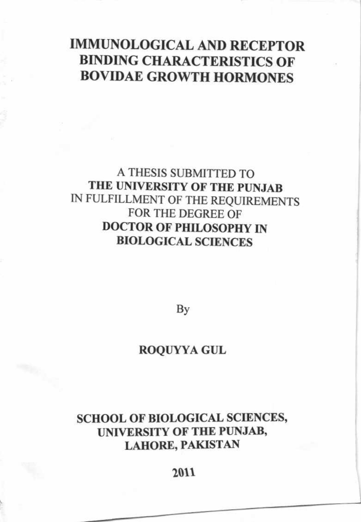## IMMUNOLOGICAL AND RECEPTOR BINDING CHARACTERISTICS OF BOVIDAE GROWTH HORMONES

## A THESIS SUBMITTED TO THE UNIVERSITY OF THE PUNJAB IN FULFILLMENT OF THE REQUIREMENTS FOR THE DECREE OF DOCTOR OF PHILOSOPHY IN BIOLOGICAL SCIENCES

By

### ROQUYYA GUL

## SCHOOL OF BIOLOGICAL SCIENCES, UNIVERSITY OF THE PUNJAB' LAHORE, PAKISTAN

### 2011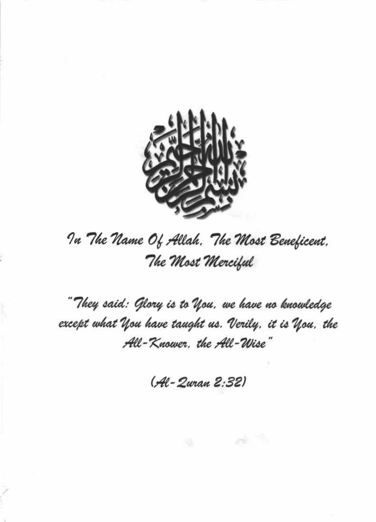

# In The Name Of Allah. The Most Beneficent. The Most Merciful

" They said: Glory is to You, we have no knowledge except what You have taught us. Verily, it is You, the All-Knower, the All-Wise"

(Al-Zuran 2:32)

29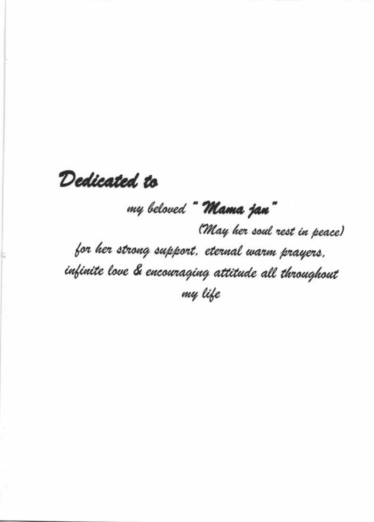# Dedicated to

# my beloved "Mama jan"

(May her soul rest in peace) for her strong support. eternal warm prayers. infinite love & encouraging attitude all throughout my life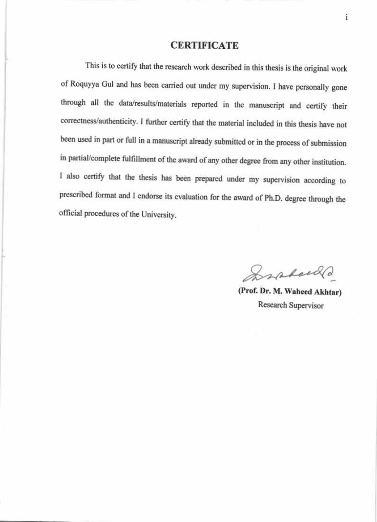### **CERTIFICATE**

This is to certify that the research work described in this thesis is the original work of Roquyya Gul and has been carried out under my supervision. I have personally gone through all the data/results/materials reported in the manuscript and certify their correctness/authenticity. I further certify that the material included in this thesis have not been used in part or full in a manuscript already submitted or in the process of submission in partial/complete fulfillment of the award of any other degree from any other institution. I also certify that the thesis has been prepared under my supervision according to prescribed format and I endorse its evaluation for the award of Ph.D. degree through the official procedures of the University.

Spakeed

(Prof. Dr. M. Waheed Akhtar) Research Supervisor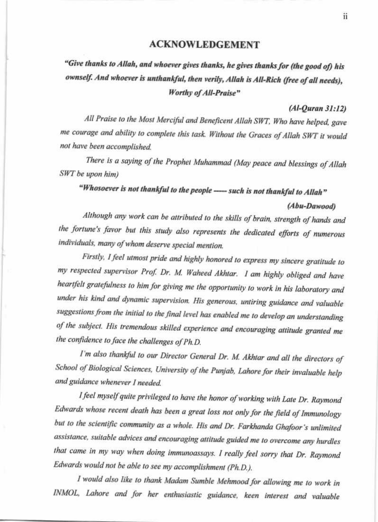#### **ACKNOWLEDGEMENT**

## "Give thanks to Allah, and whoever gives thanks, he gives thanks for (the good of) his ownself. And whoever is unthankful, then verily, Allah is All-Rich (free of all needs), Worthy of All-Praise"

#### $(Al-Ouran 31:12)$

All Praise to the Most Merciful and Beneficent Allah SWT, Who have helped, gave me courage and ability to complete this task. Without the Graces of Allah SWT it would not have been accomplished.

There is a saying of the Prophet Muhammad (May peace and blessings of Allah SWT be upon him)

## "Whosoever is not thankful to the people ---- such is not thankful to Allah"

#### (Abu-Dawood)

Although any work can be attributed to the skills of brain, strength of hands and the fortune's favor but this study also represents the dedicated efforts of numerous individuals, many of whom deserve special mention.

Firstly, I feel utmost pride and highly honored to express my sincere gratitude to my respected supervisor Prof. Dr. M. Waheed Akhtar. I am highly obliged and have heartfelt gratefulness to him for giving me the opportunity to work in his laboratory and under his kind and dynamic supervision. His generous, untiring guidance and valuable suggestions from the initial to the final level has enabled me to develop an understanding of the subject. His tremendous skilled experience and encouraging attitude granted me the confidence to face the challenges of Ph.D.

I'm also thankful to our Director General Dr. M. Akhtar and all the directors of School of Biological Sciences, University of the Punjab, Lahore for their invaluable help and guidance whenever I needed.

I feel myself quite privileged to have the honor of working with Late Dr. Raymond Edwards whose recent death has been a great loss not only for the field of Immunology but to the scientific community as a whole. His and Dr. Farkhanda Ghafoor's unlimited assistance, suitable advices and encouraging attitude guided me to overcome any hurdles that came in my way when doing immunoassays. I really feel sorry that Dr. Raymond Edwards would not be able to see my accomplishment (Ph.D.).

I would also like to thank Madam Sumble Mehmood for allowing me to work in INMOL, Lahore and for her enthusiastic guidance, keen interest and valuable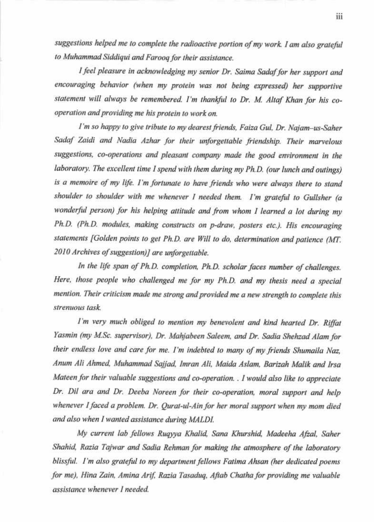suggestions helped me to complete the radioactive portion of my work. I am also grateful to Muhammad Siddiqui and Faroog for their assistance.

I feel pleasure in acknowledging my senior Dr. Saima Sadaf for her support and encouraging behavior (when my protein was not being expressed) her supportive statement will always be remembered. I'm thankful to Dr. M. Altaf Khan for his cooperation and providing me his protein to work on.

I'm so happy to give tribute to my dearest friends, Faiza Gul, Dr. Najam-us-Saher Sadaf Zaidi and Nadia Azhar for their unforgettable friendship. Their marvelous suggestions, co-operations and pleasant company made the good environment in the laboratory. The excellent time I spend with them during my Ph.D. (our lunch and outings) is a memoire of my life. I'm fortunate to have friends who were always there to stand shoulder to shoulder with me whenever I needed them. I'm grateful to Gullsher (a wonderful person) for his helping attitude and from whom I learned a lot during my Ph.D. (Ph.D. modules, making constructs on p-draw, posters etc.). His encouraging statements [Golden points to get Ph.D. are Will to do, determination and patience (MT. 2010 Archives of suggestion)] are unforgettable.

In the life span of Ph.D. completion, Ph.D. scholar faces number of challenges. Here, those people who challenged me for my Ph.D. and my thesis need a special mention. Their criticism made me strong and provided me a new strength to complete this strenuous task

I'm very much obliged to mention my benevolent and kind hearted Dr. Riffat Yasmin (my M.Sc. supervisor), Dr. Mahjabeen Saleem, and Dr. Sadia Shehzad Alam for their endless love and care for me. I'm indebted to many of my friends Shumaila Naz, Anum Ali Ahmed, Muhammad Sajjad, Imran Ali, Maida Aslam, Barizah Malik and Irsa Mateen for their valuable suggestions and co-operation. . I would also like to appreciate Dr. Dil ara and Dr. Deeba Noreen for their co-operation, moral support and help whenever I faced a problem. Dr. Qurat-ul-Ain for her moral support when my mom died and also when I wanted assistance during MALDI.

My current lab fellows Rugyya Khalid, Sana Khurshid, Madeeha Afzal, Saher Shahid, Razia Tajwar and Sadia Rehman for making the atmosphere of the laboratory blissful. I'm also grateful to my department fellows Fatima Ahsan (her dedicated poems for me), Hina Zain, Amina Arif, Razia Tasaduq, Aftab Chatha for providing me valuable assistance whenever I needed.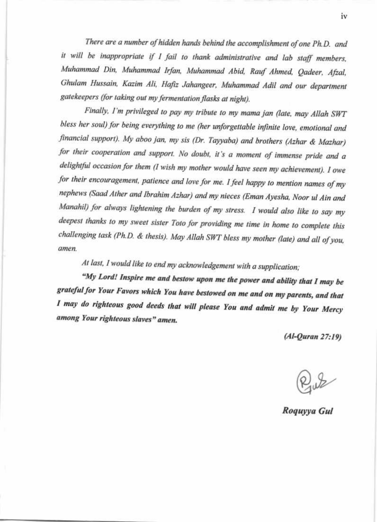There are a number of hidden hands behind the accomplishment of one Ph.D. and it will be inappropriate if I fail to thank administrative and lab staff members, Muhammad Din, Muhammad Irfan, Muhammad Abid, Rauf Ahmed, Qadeer, Afzal, Ghulam Hussain, Kazim Ali, Hafiz Jahangeer, Muhammad Adil and our department gatekeepers (for taking out my fermentation flasks at night).

Finally, I'm privileged to pay my tribute to my mama jan (late, may Allah SWT bless her soul) for being everything to me (her unforgettable infinite love, emotional and financial support). My aboo jan, my sis (Dr. Tayyaba) and brothers (Azhar & Mazhar) for their cooperation and support. No doubt, it's a moment of immense pride and a delightful occasion for them (I wish my mother would have seen my achievement). I owe for their encouragement, patience and love for me. I feel happy to mention names of my nephews (Saad Ather and Ibrahim Azhar) and my nieces (Eman Ayesha, Noor ul Ain and Manahil) for always lightening the burden of my stress. I would also like to say my deepest thanks to my sweet sister Toto for providing me time in home to complete this challenging task (Ph.D. & thesis). May Allah SWT bless my mother (late) and all of you, amen.

At last, I would like to end my acknowledgement with a supplication;

"My Lord! Inspire me and bestow upon me the power and ability that I may be grateful for Your Favors which You have bestowed on me and on my parents, and that I may do righteous good deeds that will please You and admit me by Your Mercy among Your righteous slaves" amen.

 $(A1-Ouran 27:19)$ 

Roguyya Gul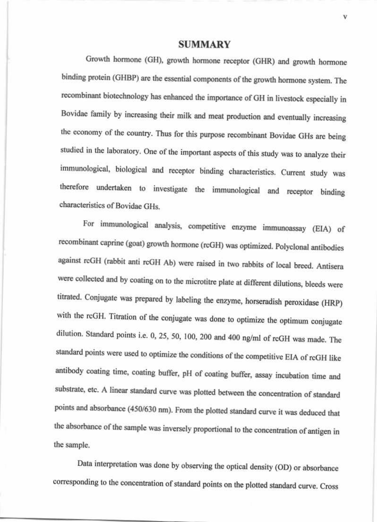#### **SUMMARY**

Growth hormone (GH), growth hormone receptor (GHR) and growth hormone binding protein (GHBP) are the essential components of the growth hormone system. The recombinant biotechnology has enhanced the importance of GH in livestock especially in Bovidae family by increasing their milk and meat production and eventually increasing the economy of the country. Thus for this purpose recombinant Bovidae GHs are being studied in the laboratory. One of the important aspects of this study was to analyze their immunological, biological and receptor binding characteristics. Current study was therefore undertaken to investigate the immunological and receptor binding characteristics of Bovidae GHs.

For immunological analysis, competitive enzyme immunoassay (EIA) of recombinant caprine (goat) growth hormone (rcGH) was optimized. Polyclonal antibodies against rcGH (rabbit anti rcGH Ab) were raised in two rabbits of local breed. Antisera were collected and by coating on to the microtitre plate at different dilutions, bleeds were titrated. Conjugate was prepared by labeling the enzyme, horseradish peroxidase (HRP) with the rcGH. Titration of the conjugate was done to optimize the optimum conjugate dilution. Standard points i.e. 0, 25, 50, 100, 200 and 400 ng/ml of rcGH was made. The standard points were used to optimize the conditions of the competitive EIA of rcGH like antibody coating time, coating buffer, pH of coating buffer, assay incubation time and substrate, etc. A linear standard curve was plotted between the concentration of standard points and absorbance (450/630 nm). From the plotted standard curve it was deduced that the absorbance of the sample was inversely proportional to the concentration of antigen in the sample.

Data interpretation was done by observing the optical density (OD) or absorbance corresponding to the concentration of standard points on the plotted standard curve. Cross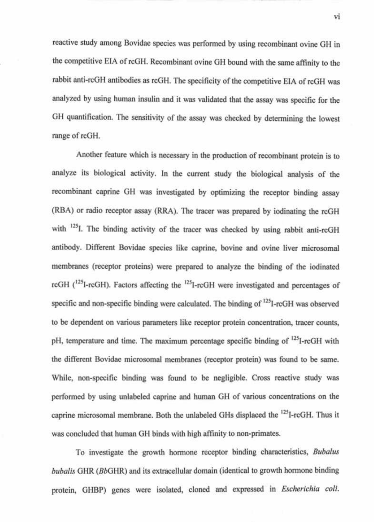reactive study among Bovidae species was performed by using recombinant ovine GH in the competitive EIA of rcGH. Recombinant ovine GH bound with the same affinity to the rabbit anti-rcGH antibodies as rcGH. The specificity of the competitive EIA of rcGH was analyzed by using human insulin and it was validated that the assay was specific for the GH quantification. The sensitivity of the assay was checked by determining the lowest range of rcGH.

Another feature which is necessary in the production of recombinant protein is to analyze its biological activity. In the current study the biological analysis of the recombinant caprine GH was investigated by optimizing the receptor binding assay (RBA) or radio receptor assay (RRA). The tracer was prepared by iodinating the rcGH with <sup>125</sup>I. The binding activity of the tracer was checked by using rabbit anti-rcGH antibody. Different Bovidae species like caprine, bovine and ovine liver microsomal membranes (receptor proteins) were prepared to analyze the binding of the iodinated rcGH (<sup>125</sup>I-rcGH). Factors affecting the <sup>125</sup>I-rcGH were investigated and percentages of specific and non-specific binding were calculated. The binding of <sup>125</sup>I-rcGH was observed to be dependent on various parameters like receptor protein concentration, tracer counts, pH, temperature and time. The maximum percentage specific binding of <sup>125</sup>I-rcGH with the different Bovidae microsomal membranes (receptor protein) was found to be same. While, non-specific binding was found to be negligible. Cross reactive study was performed by using unlabeled caprine and human GH of various concentrations on the caprine microsomal membrane. Both the unlabeled GHs displaced the <sup>125</sup>I-rcGH. Thus it was concluded that human GH binds with high affinity to non-primates.

To investigate the growth hormone receptor binding characteristics, Bubalus bubalis GHR (BbGHR) and its extracellular domain (identical to growth hormone binding protein, GHBP) genes were isolated, cloned and expressed in *Escherichia coli*.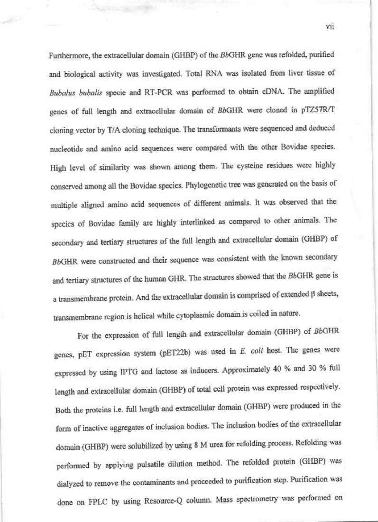Furthermore, the extracellular domain (GHBP) of the BbGHR gene was refolded, purified and biological activity was investigated. Total RNA was isolated from liver tissue of Bubalus bubalis specie and RT-PCR was performed to obtain cDNA. The amplified genes of full length and extracellular domain of BbGHR were cloned in pTZ57R/T cloning vector by T/A cloning technique. The transformants were sequenced and deduced nucleotide and amino acid sequences were compared with the other Bovidae species. High level of similarity was shown among them. The cysteine residues were highly conserved among all the Bovidae species. Phylogenetic tree was generated on the basis of multiple aligned amino acid sequences of different animals. It was observed that the species of Bovidae family are highly interlinked as compared to other animals. The secondary and tertiary structures of the full length and extracellular domain (GHBP) of BbGHR were constructed and their sequence was consistent with the known secondary and tertiary structures of the human GHR. The structures showed that the BbGHR gene is a transmembrane protein. And the extracellular domain is comprised of extended  $\beta$  sheets, transmembrane region is helical while cytoplasmic domain is coiled in nature.

For the expression of full length and extracellular domain (GHBP) of BbGHR genes, pET expression system (pET22b) was used in E. coli host. The genes were expressed by using IPTG and lactose as inducers. Approximately 40 % and 30 % full length and extracellular domain (GHBP) of total cell protein was expressed respectively. Both the proteins i.e. full length and extracellular domain (GHBP) were produced in the form of inactive aggregates of inclusion bodies. The inclusion bodies of the extracellular domain (GHBP) were solubilized by using 8 M urea for refolding process. Refolding was performed by applying pulsatile dilution method. The refolded protein (GHBP) was dialyzed to remove the contaminants and proceeded to purification step. Purification was done on FPLC by using Resource-Q column. Mass spectrometry was performed on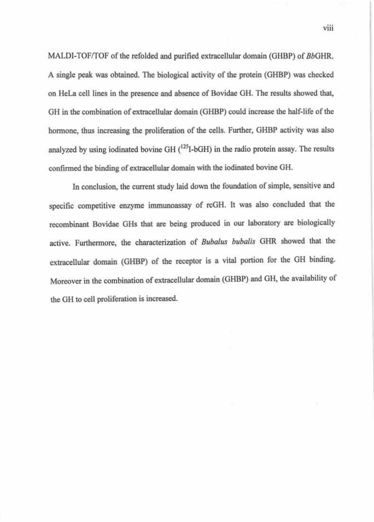MALDI-TOF/TOF of the refolded and purified extracellular domain (GHBP) of BbGHR. A single peak was obtained. The biological activity of the protein (GHBP) was checked on HeLa cell lines in the presence and absence of Bovidae GH. The results showed that, GH in the combination of extracellular domain (GHBP) could increase the half-life of the hormone, thus increasing the proliferation of the cells. Further, GHBP activity was also analyzed by using iodinated bovine GH (<sup>125</sup>I-bGH) in the radio protein assay. The results confirmed the binding of extracellular domain with the iodinated bovine GH.

In conclusion, the current study laid down the foundation of simple, sensitive and specific competitive enzyme immunoassay of rcGH. It was also concluded that the recombinant Bovidae GHs that are being produced in our laboratory are biologically active. Furthermore, the characterization of Bubalus bubalis GHR showed that the extracellular domain (GHBP) of the receptor is a vital portion for the GH binding. Moreover in the combination of extracellular domain (GHBP) and GH, the availability of the GH to cell proliferation is increased.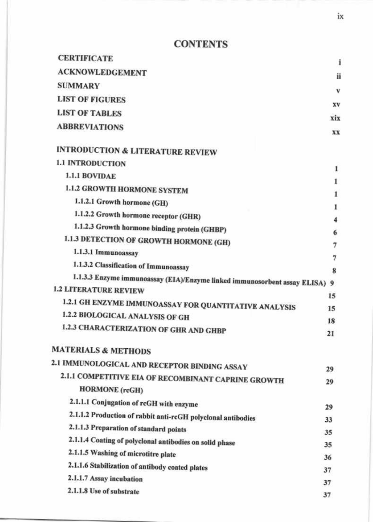## **CONTENTS**

| <b>CERTIFICATE</b>                                                          | i   |
|-----------------------------------------------------------------------------|-----|
| <b>ACKNOWLEDGEMENT</b>                                                      | ii  |
| <b>SUMMARY</b>                                                              | v   |
| <b>LIST OF FIGURES</b>                                                      |     |
| <b>LIST OF TABLES</b>                                                       | XV  |
| <b>ABBREVIATIONS</b>                                                        | xix |
|                                                                             | XX  |
| <b>INTRODUCTION &amp; LITERATURE REVIEW</b>                                 |     |
| <b>1.1 INTRODUCTION</b>                                                     | 1   |
| <b>1.1.1 BOVIDAE</b>                                                        |     |
| 1.1.2 GROWTH HORMONE SYSTEM                                                 | 1   |
| 1.1.2.1 Growth hormone (GH)                                                 |     |
| 1.1.2.2 Growth hormone receptor (GHR)                                       | 4   |
| 1.1.2.3 Growth hormone binding protein (GHBP)                               | 6   |
| 1.1.3 DETECTION OF GROWTH HORMONE (GH)                                      | 7   |
| 1.1.3.1 Immunoassay                                                         | 7   |
| 1.1.3.2 Classification of Immunoassay                                       | 8   |
| 1.1.3.3 Enzyme immunoassay (EIA)/Enzyme linked immunosorbent assay ELISA) 9 |     |
| <b>1.2 LITERATURE REVIEW</b>                                                | 15  |
| 1.2.1 GH ENZYME IMMUNOASSAY FOR QUANTITATIVE ANALYSIS                       | 15  |
| 1.2.2 BIOLOGICAL ANALYSIS OF GH                                             | 18  |
| 1.2.3 CHARACTERIZATION OF GHR AND GHBP                                      | 21  |
| <b>MATERIALS &amp; METHODS</b>                                              |     |
| 2.1 IMMUNOLOGICAL AND RECEPTOR BINDING ASSAY                                | 29  |
| 2.1.1 COMPETITIVE EIA OF RECOMBINANT CAPRINE GROWTH                         | 29  |
| <b>HORMONE</b> (rcGH)                                                       |     |
| 2.1.1.1 Conjugation of rcGH with enzyme                                     | 29  |
| 2.1.1.2 Production of rabbit anti-rcGH polyclonal antibodies                | 33  |
| 2.1.1.3 Preparation of standard points                                      | 35  |
| 2.1.1.4 Coating of polyclonal antibodies on solid phase                     | 35  |
| 2.1.1.5 Washing of microtitre plate                                         | 36  |
| 2.1.1.6 Stabilization of antibody coated plates                             | 37  |
| 2.1.1.7 Assay incubation                                                    | 37  |
| 2.1.1.8 Use of substrate                                                    | 37  |

 $i\mathbf{x}$